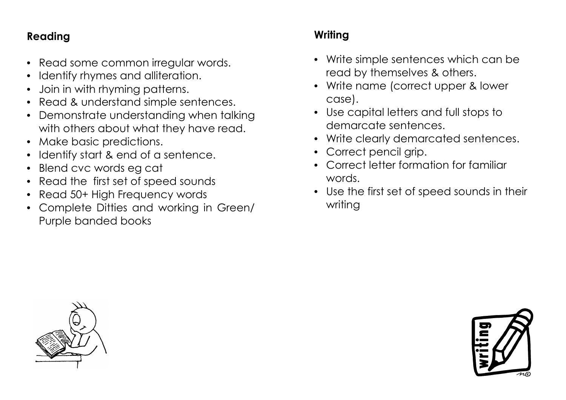## **Reading**

- Read some common irregular words.
- Identify rhymes and alliteration.
- Join in with rhyming patterns.
- Read & understand simple sentences.
- Demonstrate understanding when talking with others about what they have read.
- Make basic predictions.
- Identify start & end of a sentence.
- Blend cvc words eg cat
- Read the first set of speed sounds
- Read 50+ High Frequency words
- Complete Ditties and working in Green/ Purple banded books

## **Writing**

- Write simple sentences which can be read by themselves & others.
- Write name (correct upper & lower case).
- Use capital letters and full stops to demarcate sentences.
- Write clearly demarcated sentences.
- Correct pencil grip.
- Correct letter formation for familiar words.
- Use the first set of speed sounds in their writing